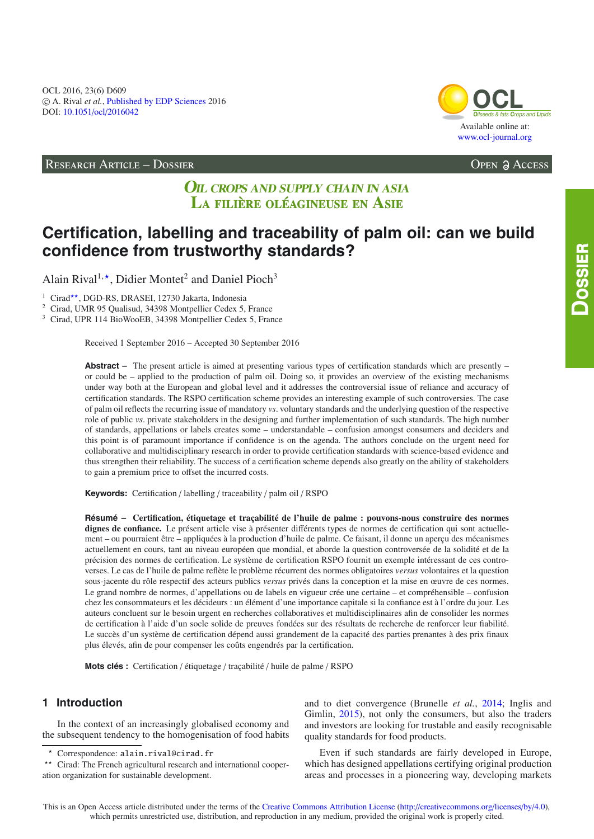RESEARCH ARTICLE – DOSSIER Open Access



## **OIL CROPS AND SUPPLY CHAIN IN ASIA** LA FILIÈRE OLÉAGINEUSE EN **ÀSIE**

# **Certification, labelling and traceability of palm oil: can we build confidence from trustworthy standards?**

Alain Rival<sup>1,\*</sup>, Didier Montet<sup>2</sup> and Daniel Pioch<sup>3</sup>

<sup>1</sup> Cirad<sup>\*\*</sup>, DGD-RS, DRASEI, 12730 Jakarta, Indonesia

<sup>2</sup> Cirad, UMR 95 Qualisud, 34398 Montpellier Cedex 5, France

<sup>3</sup> Cirad, UPR 114 BioWooEB, 34398 Montpellier Cedex 5, France

Received 1 September 2016 – Accepted 30 September 2016

**Abstract –** The present article is aimed at presenting various types of certification standards which are presently – or could be – applied to the production of palm oil. Doing so, it provides an overview of the existing mechanisms under way both at the European and global level and it addresses the controversial issue of reliance and accuracy of certification standards. The RSPO certification scheme provides an interesting example of such controversies. The case of palm oil reflects the recurring issue of mandatory *vs*. voluntary standards and the underlying question of the respective role of public *vs*. private stakeholders in the designing and further implementation of such standards. The high number of standards, appellations or labels creates some – understandable – confusion amongst consumers and deciders and this point is of paramount importance if confidence is on the agenda. The authors conclude on the urgent need for collaborative and multidisciplinary research in order to provide certification standards with science-based evidence and thus strengthen their reliability. The success of a certification scheme depends also greatly on the ability of stakeholders to gain a premium price to offset the incurred costs.

**Keywords:** Certification / labelling / traceability / palm oil / RSPO

**Résumé – Certification, étiquetage et traçabilité de l'huile de palme : pouvons-nous construire des normes dignes de confiance.** Le présent article vise à présenter différents types de normes de certification qui sont actuellement – ou pourraient être – appliquées à la production d'huile de palme. Ce faisant, il donne un aperçu des mécanismes actuellement en cours, tant au niveau européen que mondial, et aborde la question controversée de la solidité et de la précision des normes de certification. Le système de certification RSPO fournit un exemple intéressant de ces controverses. Le cas de l'huile de palme reflète le problème récurrent des normes obligatoires *versus* volontaires et la question sous-jacente du rôle respectif des acteurs publics *versus* privés dans la conception et la mise en œuvre de ces normes. Le grand nombre de normes, d'appellations ou de labels en vigueur crée une certaine – et compréhensible – confusion chez les consommateurs et les décideurs : un élément d'une importance capitale si la confiance est à l'ordre du jour. Les auteurs concluent sur le besoin urgent en recherches collaboratives et multidisciplinaires afin de consolider les normes de certification à l'aide d'un socle solide de preuves fondées sur des résultats de recherche de renforcer leur fiabilité. Le succès d'un système de certification dépend aussi grandement de la capacité des parties prenantes à des prix finaux plus élevés, afin de pour compenser les coûts engendrés par la certification.

**Mots clés :** Certification / étiquetage / traçabilité / huile de palme / RSPO

## **1 Introduction**

In the context of an increasingly globalised economy and the subsequent tendency to the homogenisation of food habits and to diet convergence (Brunelle *et al.*, [2014;](#page-9-0) Inglis and Gimlin, [2015](#page-10-0)), not only the consumers, but also the traders and investors are looking for trustable and easily recognisable quality standards for food products.

Even if such standards are fairly developed in Europe, which has designed appellations certifying original production areas and processes in a pioneering way, developing markets

Correspondence: alain.rival@cirad.fr

<sup>\*\*</sup> Cirad: The French agricultural research and international cooperation organization for sustainable development.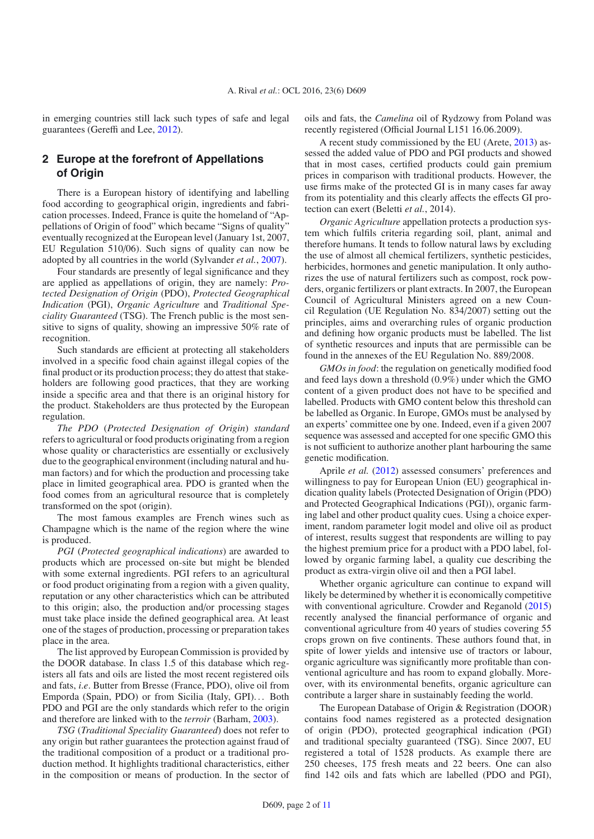in emerging countries still lack such types of safe and legal guarantees (Gereffi and Lee, [2012\)](#page-10-1).

## **2 Europe at the forefront of Appellations of Origin**

There is a European history of identifying and labelling food according to geographical origin, ingredients and fabrication processes. Indeed, France is quite the homeland of "Appellations of Origin of food" which became "Signs of quality" eventually recognized at the European level (January 1st, 2007, EU Regulation 510/06). Such signs of quality can now be adopted by all countries in the world (Sylvander *et al.*, [2007\)](#page-10-2).

Four standards are presently of legal significance and they are applied as appellations of origin, they are namely: *Protected Designation of Origin* (PDO), *Protected Geographical Indication* (PGI), *Organic Agriculture* and *Traditional Speciality Guaranteed* (TSG). The French public is the most sensitive to signs of quality, showing an impressive 50% rate of recognition.

Such standards are efficient at protecting all stakeholders involved in a specific food chain against illegal copies of the final product or its production process; they do attest that stakeholders are following good practices, that they are working inside a specific area and that there is an original history for the product. Stakeholders are thus protected by the European regulation.

*The PDO* (*Protected Designation of Origin*) *standard* refers to agricultural or food products originating from a region whose quality or characteristics are essentially or exclusively due to the geographical environment (including natural and human factors) and for which the production and processing take place in limited geographical area. PDO is granted when the food comes from an agricultural resource that is completely transformed on the spot (origin).

The most famous examples are French wines such as Champagne which is the name of the region where the wine is produced.

*PGI* (*Protected geographical indications*) are awarded to products which are processed on-site but might be blended with some external ingredients. PGI refers to an agricultural or food product originating from a region with a given quality, reputation or any other characteristics which can be attributed to this origin; also, the production and/or processing stages must take place inside the defined geographical area. At least one of the stages of production, processing or preparation takes place in the area.

The list approved by European Commission is provided by the DOOR database. In class 1.5 of this database which registers all fats and oils are listed the most recent registered oils and fats, *<sup>i</sup>*.*e*. Butter from Bresse (France, PDO), olive oil from Emporda (Spain, PDO) or from Sicilia (Italy, GPI). . . Both PDO and PGI are the only standards which refer to the origin and therefore are linked with to the *terroir* (Barham, [2003\)](#page-9-1).

*TSG* (*Traditional Speciality Guaranteed*) does not refer to any origin but rather guarantees the protection against fraud of the traditional composition of a product or a traditional production method. It highlights traditional characteristics, either in the composition or means of production. In the sector of oils and fats, the *Camelina* oil of Rydzowy from Poland was recently registered (Official Journal L151 16.06.2009).

A recent study commissioned by the EU (Arete, [2013](#page-9-2)) assessed the added value of PDO and PGI products and showed that in most cases, certified products could gain premium prices in comparison with traditional products. However, the use firms make of the protected GI is in many cases far away from its potentiality and this clearly affects the effects GI protection can exert (Beletti *et al.*, 2014).

*Organic Agriculture* appellation protects a production system which fulfils criteria regarding soil, plant, animal and therefore humans. It tends to follow natural laws by excluding the use of almost all chemical fertilizers, synthetic pesticides, herbicides, hormones and genetic manipulation. It only authorizes the use of natural fertilizers such as compost, rock powders, organic fertilizers or plant extracts. In 2007, the European Council of Agricultural Ministers agreed on a new Council Regulation (UE Regulation No. 834/2007) setting out the principles, aims and overarching rules of organic production and defining how organic products must be labelled. The list of synthetic resources and inputs that are permissible can be found in the annexes of the EU Regulation No. 889/2008.

*GMOs in food*: the regulation on genetically modified food and feed lays down a threshold (0.9%) under which the GMO content of a given product does not have to be specified and labelled. Products with GMO content below this threshold can be labelled as Organic. In Europe, GMOs must be analysed by an experts' committee one by one. Indeed, even if a given 2007 sequence was assessed and accepted for one specific GMO this is not sufficient to authorize another plant harbouring the same genetic modification.

Aprile *et al.* [\(2012\)](#page-9-3) assessed consumers' preferences and willingness to pay for European Union (EU) geographical indication quality labels (Protected Designation of Origin (PDO) and Protected Geographical Indications (PGI)), organic farming label and other product quality cues. Using a choice experiment, random parameter logit model and olive oil as product of interest, results suggest that respondents are willing to pay the highest premium price for a product with a PDO label, followed by organic farming label, a quality cue describing the product as extra-virgin olive oil and then a PGI label.

Whether organic agriculture can continue to expand will likely be determined by whether it is economically competitive with conventional agriculture. Crowder and Reganold [\(2015\)](#page-9-4) recently analysed the financial performance of organic and conventional agriculture from 40 years of studies covering 55 crops grown on five continents. These authors found that, in spite of lower yields and intensive use of tractors or labour, organic agriculture was significantly more profitable than conventional agriculture and has room to expand globally. Moreover, with its environmental benefits, organic agriculture can contribute a larger share in sustainably feeding the world.

The European Database of Origin & Registration (DOOR) contains food names registered as a protected designation of origin (PDO), protected geographical indication (PGI) and traditional specialty guaranteed (TSG). Since 2007, EU registered a total of 1528 products. As example there are 250 cheeses, 175 fresh meats and 22 beers. One can also find 142 oils and fats which are labelled (PDO and PGI),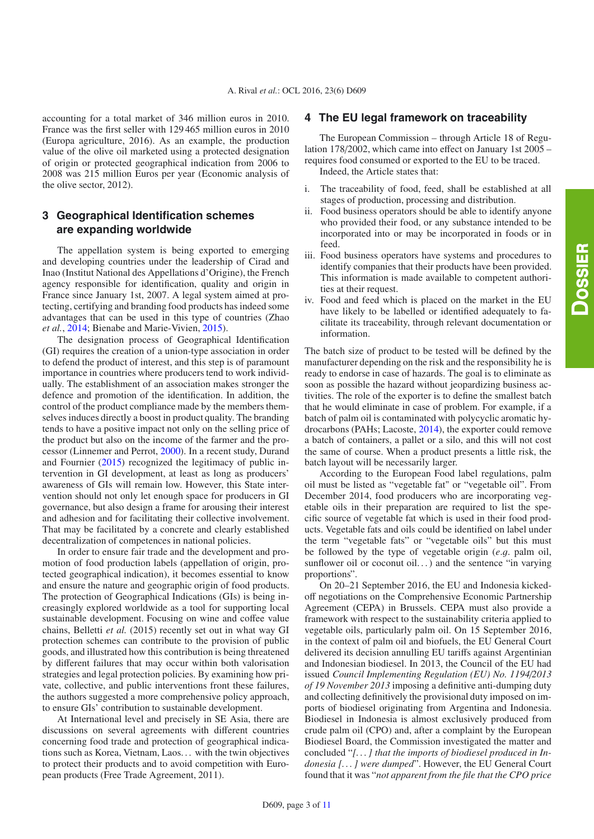accounting for a total market of 346 million euros in 2010. France was the first seller with 129 465 million euros in 2010 (Europa agriculture, 2016). As an example, the production value of the olive oil marketed using a protected designation of origin or protected geographical indication from 2006 to 2008 was 215 million Euros per year (Economic analysis of the olive sector, 2012).

## **3 Geographical Identification schemes are expanding worldwide**

The appellation system is being exported to emerging and developing countries under the leadership of Cirad and Inao (Institut National des Appellations d'Origine), the French agency responsible for identification, quality and origin in France since January 1st, 2007. A legal system aimed at protecting, certifying and branding food products has indeed some advantages that can be used in this type of countries (Zhao *et al.*, [2014;](#page-10-4) Bienabe and Marie-Vivien, [2015\)](#page-9-5).

The designation process of Geographical Identification (GI) requires the creation of a union-type association in order to defend the product of interest, and this step is of paramount importance in countries where producers tend to work individually. The establishment of an association makes stronger the defence and promotion of the identification. In addition, the control of the product compliance made by the members themselves induces directly a boost in product quality. The branding tends to have a positive impact not only on the selling price of the product but also on the income of the farmer and the processor (Linnemer and Perrot, [2000\)](#page-10-5). In a recent study, Durand and Fournier [\(2015\)](#page-9-6) recognized the legitimacy of public intervention in GI development, at least as long as producers' awareness of GIs will remain low. However, this State intervention should not only let enough space for producers in GI governance, but also design a frame for arousing their interest and adhesion and for facilitating their collective involvement. That may be facilitated by a concrete and clearly established decentralization of competences in national policies.

In order to ensure fair trade and the development and promotion of food production labels (appellation of origin, protected geographical indication), it becomes essential to know and ensure the nature and geographic origin of food products. The protection of Geographical Indications (GIs) is being increasingly explored worldwide as a tool for supporting local sustainable development. Focusing on wine and coffee value chains, Belletti *et al.* (2015) recently set out in what way GI protection schemes can contribute to the provision of public goods, and illustrated how this contribution is being threatened by different failures that may occur within both valorisation strategies and legal protection policies. By examining how private, collective, and public interventions front these failures, the authors suggested a more comprehensive policy approach, to ensure GIs' contribution to sustainable development.

At International level and precisely in SE Asia, there are discussions on several agreements with different countries concerning food trade and protection of geographical indications such as Korea, Vietnam, Laos. . . with the twin objectives to protect their products and to avoid competition with European products (Free Trade Agreement, 2011).

## **4 The EU legal framework on traceability**

The European Commission – through Article 18 of Regulation 178/2002, which came into effect on January 1st 2005 – requires food consumed or exported to the EU to be traced. Indeed, the Article states that:

- i. The traceability of food, feed, shall be established at all stages of production, processing and distribution.
- ii. Food business operators should be able to identify anyone who provided their food, or any substance intended to be incorporated into or may be incorporated in foods or in feed.
- iii. Food business operators have systems and procedures to identify companies that their products have been provided. This information is made available to competent authorities at their request.
- iv. Food and feed which is placed on the market in the EU have likely to be labelled or identified adequately to facilitate its traceability, through relevant documentation or information.

The batch size of product to be tested will be defined by the manufacturer depending on the risk and the responsibility he is ready to endorse in case of hazards. The goal is to eliminate as soon as possible the hazard without jeopardizing business activities. The role of the exporter is to define the smallest batch that he would eliminate in case of problem. For example, if a batch of palm oil is contaminated with polycyclic aromatic hydrocarbons (PAHs; Lacoste, [2014\)](#page-10-6), the exporter could remove a batch of containers, a pallet or a silo, and this will not cost the same of course. When a product presents a little risk, the batch layout will be necessarily larger.

According to the European Food label regulations, palm oil must be listed as "vegetable fat" or "vegetable oil". From December 2014, food producers who are incorporating vegetable oils in their preparation are required to list the specific source of vegetable fat which is used in their food products. Vegetable fats and oils could be identified on label under the term "vegetable fats" or "vegetable oils" but this must be followed by the type of vegetable origin (*e*.g. palm oil, sunflower oil or coconut oil...) and the sentence "in varying proportions".

On 20–21 September 2016, the EU and Indonesia kickedoff negotiations on the Comprehensive Economic Partnership Agreement (CEPA) in Brussels. CEPA must also provide a framework with respect to the sustainability criteria applied to vegetable oils, particularly palm oil. On 15 September 2016, in the context of palm oil and biofuels, the EU General Court delivered its decision annulling EU tariffs against Argentinian and Indonesian biodiesel. In 2013, the Council of the EU had issued *Council Implementing Regulation (EU) No. 1194*/*2013 of 19 November 2013* imposing a definitive anti-dumping duty and collecting definitively the provisional duty imposed on imports of biodiesel originating from Argentina and Indonesia. Biodiesel in Indonesia is almost exclusively produced from crude palm oil (CPO) and, after a complaint by the European Biodiesel Board, the Commission investigated the matter and concluded "*[. . . ] that the imports of biodiesel produced in Indonesia [. . . ] were dumped*". However, the EU General Court found that it was "*not apparent from the file that the CPO price*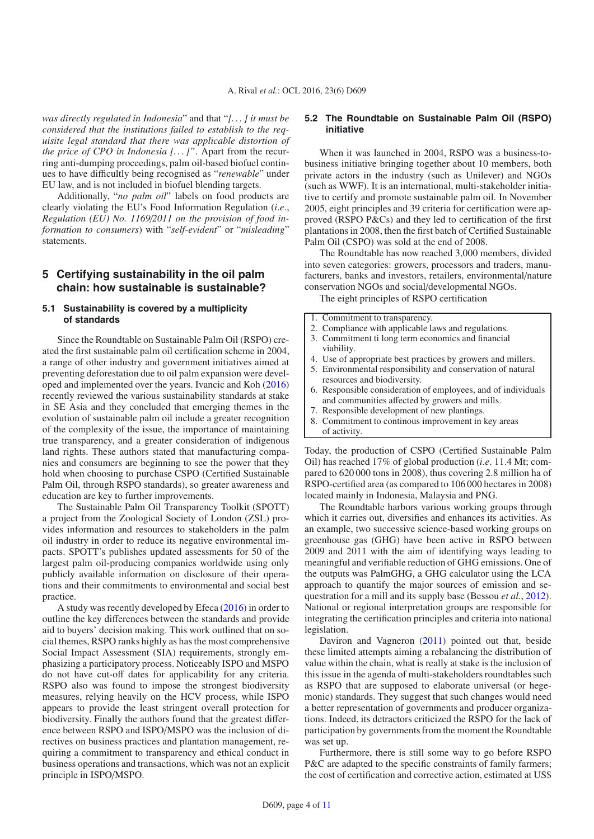*was directly regulated in Indonesia*" and that "*[. . . ] it must be considered that the institutions failed to establish to the requisite legal standard that there was applicable distortion of the price of CPO in Indonesia [. . . ]"*. Apart from the recurring anti-dumping proceedings, palm oil-based biofuel continues to have difficultly being recognised as "*renewable*" under EU law, and is not included in biofuel blending targets.

Additionally, "*no palm oil*" labels on food products are clearly violating the EU's Food Information Regulation (*i*.*e*., *Regulation (EU) No. 1169*/*2011 on the provision of food information to consumers*) with "*self-evident*" or "*misleading*" statements.

## **5 Certifying sustainability in the oil palm chain: how sustainable is sustainable?**

### **5.1 Sustainability is covered by a multiplicity of standards**

Since the Roundtable on Sustainable Palm Oil (RSPO) created the first sustainable palm oil certification scheme in 2004, a range of other industry and government initiatives aimed at preventing deforestation due to oil palm expansion were developed and implemented over the years. Ivancic and Koh [\(2016\)](#page-10-7) recently reviewed the various sustainability standards at stake in SE Asia and they concluded that emerging themes in the evolution of sustainable palm oil include a greater recognition of the complexity of the issue, the importance of maintaining true transparency, and a greater consideration of indigenous land rights. These authors stated that manufacturing companies and consumers are beginning to see the power that they hold when choosing to purchase CSPO (Certified Sustainable Palm Oil, through RSPO standards), so greater awareness and education are key to further improvements.

The Sustainable Palm Oil Transparency Toolkit (SPOTT) a project from the Zoological Society of London (ZSL) provides information and resources to stakeholders in the palm oil industry in order to reduce its negative environmental impacts. SPOTT's publishes updated assessments for 50 of the largest palm oil-producing companies worldwide using only publicly available information on disclosure of their operations and their commitments to environmental and social best practice.

A study was recently developed by Efeca [\(2016](#page-10-8)) in order to outline the key differences between the standards and provide aid to buyers' decision making. This work outlined that on social themes, RSPO ranks highly as has the most comprehensive Social Impact Assessment (SIA) requirements, strongly emphasizing a participatory process. Noticeably ISPO and MSPO do not have cut-off dates for applicability for any criteria. RSPO also was found to impose the strongest biodiversity measures, relying heavily on the HCV process, while ISPO appears to provide the least stringent overall protection for biodiversity. Finally the authors found that the greatest difference between RSPO and ISPO/MSPO was the inclusion of directives on business practices and plantation management, requiring a commitment to transparency and ethical conduct in business operations and transactions, which was not an explicit principle in ISPO/MSPO.

### **5.2 The Roundtable on Sustainable Palm Oil (RSPO) initiative**

When it was launched in 2004, RSPO was a business-tobusiness initiative bringing together about 10 members, both private actors in the industry (such as Unilever) and NGOs (such as WWF). It is an international, multi-stakeholder initiative to certify and promote sustainable palm oil. In November 2005, eight principles and 39 criteria for certification were approved (RSPO P&Cs) and they led to certification of the first plantations in 2008, then the first batch of Certified Sustainable Palm Oil (CSPO) was sold at the end of 2008.

The Roundtable has now reached 3,000 members, divided into seven categories: growers, processors and traders, manufacturers, banks and investors, retailers, environmental/nature conservation NGOs and social/developmental NGOs.

The eight principles of RSPO certification

- 1. Commitment to transparency.
- 2. Compliance with applicable laws and regulations. 3. Commitment ti long term economics and financial viability.
- 4. Use of appropriate best practices by growers and millers.
- 5. Environmental responsibility and conservation of natural resources and biodiversity.
- 6. Responsible consideration of employees, and of individuals and communities affected by growers and mills.
- 7. Responsible development of new plantings.
- 8. Commitment to continous improvement in key areas of activity.

Today, the production of CSPO (Certified Sustainable Palm Oil) has reached 17% of global production (*i*.*e*. 11.4 Mt; compared to 620 000 tons in 2008), thus covering 2.8 million ha of RSPO-certified area (as compared to 106 000 hectares in 2008) located mainly in Indonesia, Malaysia and PNG.

The Roundtable harbors various working groups through which it carries out, diversifies and enhances its activities. As an example, two successive science-based working groups on greenhouse gas (GHG) have been active in RSPO between 2009 and 2011 with the aim of identifying ways leading to meaningful and verifiable reduction of GHG emissions. One of the outputs was PalmGHG, a GHG calculator using the LCA approach to quantify the major sources of emission and sequestration for a mill and its supply base (Bessou *et al.*, [2012\)](#page-9-7). National or regional interpretation groups are responsible for integrating the certification principles and criteria into national legislation.

Daviron and Vagneron [\(2011\)](#page-9-8) pointed out that, beside these limited attempts aiming a rebalancing the distribution of value within the chain, what is really at stake is the inclusion of this issue in the agenda of multi-stakeholders roundtables such as RSPO that are supposed to elaborate universal (or hegemonic) standards. They suggest that such changes would need a better representation of governments and producer organizations. Indeed, its detractors criticized the RSPO for the lack of participation by governments from the moment the Roundtable was set up.

Furthermore, there is still some way to go before RSPO P&C are adapted to the specific constraints of family farmers; the cost of certification and corrective action, estimated at US\$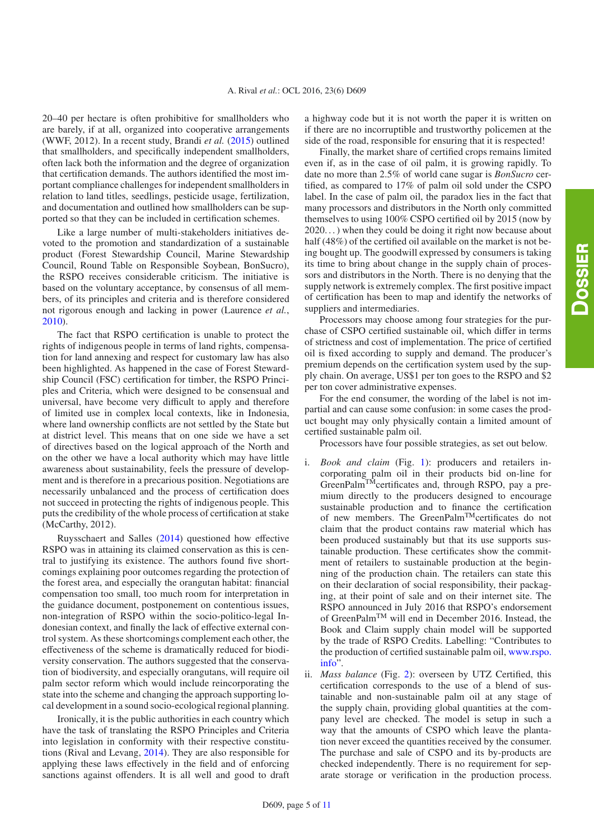20–40 per hectare is often prohibitive for smallholders who are barely, if at all, organized into cooperative arrangements (WWF, 2012). In a recent study, Brandi *et al.* [\(2015](#page-9-9)) outlined that smallholders, and specifically independent smallholders, often lack both the information and the degree of organization that certification demands. The authors identified the most important compliance challenges for independent smallholders in relation to land titles, seedlings, pesticide usage, fertilization, and documentation and outlined how smallholders can be supported so that they can be included in certification schemes.

Like a large number of multi-stakeholders initiatives devoted to the promotion and standardization of a sustainable product (Forest Stewardship Council, Marine Stewardship Council, Round Table on Responsible Soybean, BonSucro), the RSPO receives considerable criticism. The initiative is based on the voluntary acceptance, by consensus of all members, of its principles and criteria and is therefore considered not rigorous enough and lacking in power (Laurence *et al.*, [2010\)](#page-10-9).

The fact that RSPO certification is unable to protect the rights of indigenous people in terms of land rights, compensation for land annexing and respect for customary law has also been highlighted. As happened in the case of Forest Stewardship Council (FSC) certification for timber, the RSPO Principles and Criteria, which were designed to be consensual and universal, have become very difficult to apply and therefore of limited use in complex local contexts, like in Indonesia, where land ownership conflicts are not settled by the State but at district level. This means that on one side we have a set of directives based on the logical approach of the North and on the other we have a local authority which may have little awareness about sustainability, feels the pressure of development and is therefore in a precarious position. Negotiations are necessarily unbalanced and the process of certification does not succeed in protecting the rights of indigenous people. This puts the credibility of the whole process of certification at stake (McCarthy, 2012).

Ruysschaert and Salles [\(2014](#page-10-10)) questioned how effective RSPO was in attaining its claimed conservation as this is central to justifying its existence. The authors found five shortcomings explaining poor outcomes regarding the protection of the forest area, and especially the orangutan habitat: financial compensation too small, too much room for interpretation in the guidance document, postponement on contentious issues, non-integration of RSPO within the socio-politico-legal Indonesian context, and finally the lack of effective external control system. As these shortcomings complement each other, the effectiveness of the scheme is dramatically reduced for biodiversity conservation. The authors suggested that the conservation of biodiversity, and especially orangutans, will require oil palm sector reform which would include reincorporating the state into the scheme and changing the approach supporting local development in a sound socio-ecological regional planning.

Ironically, it is the public authorities in each country which have the task of translating the RSPO Principles and Criteria into legislation in conformity with their respective constitutions (Rival and Levang, [2014](#page-10-11)). They are also responsible for applying these laws effectively in the field and of enforcing sanctions against offenders. It is all well and good to draft a highway code but it is not worth the paper it is written on if there are no incorruptible and trustworthy policemen at the side of the road, responsible for ensuring that it is respected!

Finally, the market share of certified crops remains limited even if, as in the case of oil palm, it is growing rapidly. To date no more than 2.5% of world cane sugar is *BonSucro* certified, as compared to 17% of palm oil sold under the CSPO label. In the case of palm oil, the paradox lies in the fact that many processors and distributors in the North only committed themselves to using 100% CSPO certified oil by 2015 (now by 2020. . . ) when they could be doing it right now because about half (48%) of the certified oil available on the market is not being bought up. The goodwill expressed by consumers is taking its time to bring about change in the supply chain of processors and distributors in the North. There is no denying that the supply network is extremely complex. The first positive impact of certification has been to map and identify the networks of suppliers and intermediaries.

Processors may choose among four strategies for the purchase of CSPO certified sustainable oil, which differ in terms of strictness and cost of implementation. The price of certified oil is fixed according to supply and demand. The producer's premium depends on the certification system used by the supply chain. On average, US\$1 per ton goes to the RSPO and \$2 per ton cover administrative expenses.

For the end consumer, the wording of the label is not impartial and can cause some confusion: in some cases the product bought may only physically contain a limited amount of certified sustainable palm oil.

Processors have four possible strategies, as set out below.

- i. *Book and claim* (Fig. [1\)](#page-5-0): producers and retailers incorporating palm oil in their products bid on-line for GreenPalm<sup>TM</sup>certificates and, through RSPO, pay a premium directly to the producers designed to encourage sustainable production and to finance the certification of new members. The GreenPalm<sup>TM</sup>certificates do not claim that the product contains raw material which has been produced sustainably but that its use supports sustainable production. These certificates show the commitment of retailers to sustainable production at the beginning of the production chain. The retailers can state this on their declaration of social responsibility, their packaging, at their point of sale and on their internet site. The RSPO announced in July 2016 that RSPO's endorsement of GreenPalmTM will end in December 2016. Instead, the Book and Claim supply chain model will be supported by the trade of RSPO Credits. Labelling: "Contributes to the production of certified sustainable palm oil, [www.rspo.](www.rspo.info) [info"](www.rspo.info).
- ii. *Mass balance* (Fig. [2\)](#page-5-1): overseen by UTZ Certified, this certification corresponds to the use of a blend of sustainable and non-sustainable palm oil at any stage of the supply chain, providing global quantities at the company level are checked. The model is setup in such a way that the amounts of CSPO which leave the plantation never exceed the quantities received by the consumer. The purchase and sale of CSPO and its by-products are checked independently. There is no requirement for separate storage or verification in the production process.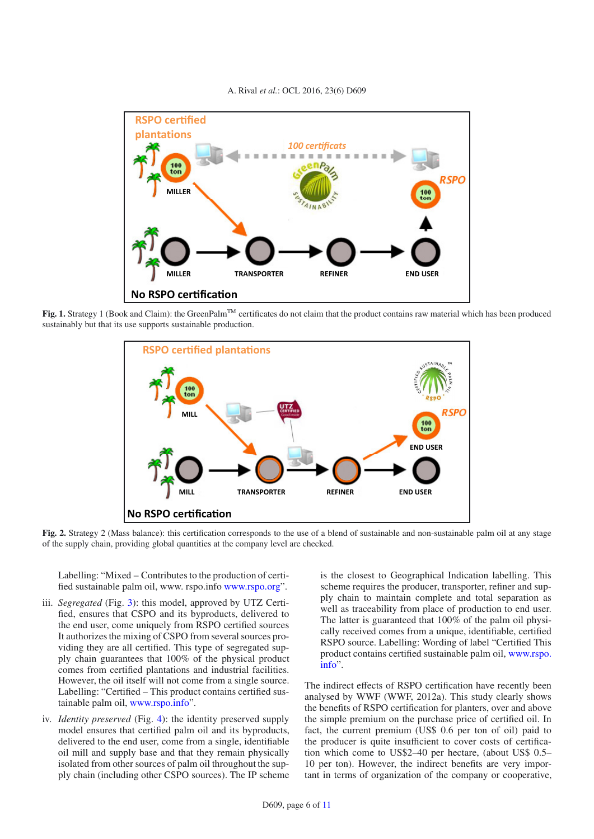

<span id="page-5-0"></span>

<span id="page-5-1"></span>**Fig. 1.** Strategy 1 (Book and Claim): the GreenPalmTM certificates do not claim that the product contains raw material which has been produced sustainably but that its use supports sustainable production.



**Fig. 2.** Strategy 2 (Mass balance): this certification corresponds to the use of a blend of sustainable and non-sustainable palm oil at any stage of the supply chain, providing global quantities at the company level are checked.

Labelling: "Mixed – Contributes to the production of certified sustainable palm oil, www. rspo.info [www.rspo.org"](www.rspo.org).

- iii. *Segregated* (Fig. [3\)](#page-6-0): this model, approved by UTZ Certified, ensures that CSPO and its byproducts, delivered to the end user, come uniquely from RSPO certified sources It authorizes the mixing of CSPO from several sources providing they are all certified. This type of segregated supply chain guarantees that 100% of the physical product comes from certified plantations and industrial facilities. However, the oil itself will not come from a single source. Labelling: "Certified – This product contains certified sustainable palm oil, [www.rspo.info"](www.rspo.info).
- iv. *Identity preserved* (Fig. [4\)](#page-6-1): the identity preserved supply model ensures that certified palm oil and its byproducts, delivered to the end user, come from a single, identifiable oil mill and supply base and that they remain physically isolated from other sources of palm oil throughout the supply chain (including other CSPO sources). The IP scheme

is the closest to Geographical Indication labelling. This scheme requires the producer, transporter, refiner and supply chain to maintain complete and total separation as well as traceability from place of production to end user. The latter is guaranteed that 100% of the palm oil physically received comes from a unique, identifiable, certified RSPO source. Labelling: Wording of label "Certified This product contains certified sustainable palm oil, [www.rspo.](www.rspo.info) [info"](www.rspo.info).

The indirect effects of RSPO certification have recently been analysed by WWF (WWF, 2012a). This study clearly shows the benefits of RSPO certification for planters, over and above the simple premium on the purchase price of certified oil. In fact, the current premium (US\$ 0.6 per ton of oil) paid to the producer is quite insufficient to cover costs of certification which come to US\$2–40 per hectare, (about US\$ 0.5– 10 per ton). However, the indirect benefits are very important in terms of organization of the company or cooperative,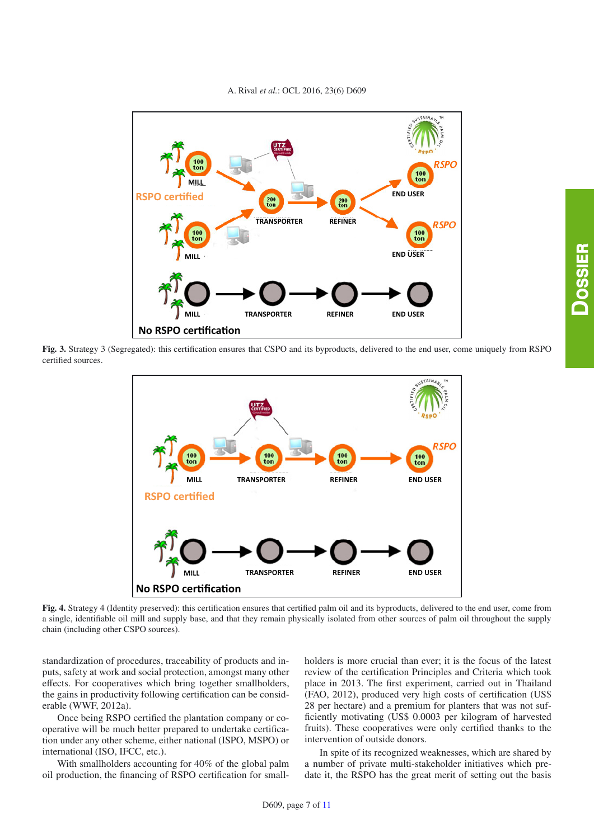

A. Rival *et al.*: OCL 2016, 23(6) D609

<span id="page-6-1"></span><span id="page-6-0"></span>**Fig. 3.** Strategy 3 (Segregated): this certification ensures that CSPO and its byproducts, delivered to the end user, come uniquely from RSPO certified sources.



**Fig. 4.** Strategy 4 (Identity preserved): this certification ensures that certified palm oil and its byproducts, delivered to the end user, come from a single, identifiable oil mill and supply base, and that they remain physically isolated from other sources of palm oil throughout the supply chain (including other CSPO sources).

standardization of procedures, traceability of products and inputs, safety at work and social protection, amongst many other effects. For cooperatives which bring together smallholders, the gains in productivity following certification can be considerable (WWF, 2012a).

Once being RSPO certified the plantation company or cooperative will be much better prepared to undertake certification under any other scheme, either national (ISPO, MSPO) or international (ISO, IFCC, etc.).

With smallholders accounting for 40% of the global palm oil production, the financing of RSPO certification for smallholders is more crucial than ever; it is the focus of the latest review of the certification Principles and Criteria which took place in 2013. The first experiment, carried out in Thailand (FAO, 2012), produced very high costs of certification (US\$ 28 per hectare) and a premium for planters that was not sufficiently motivating (US\$ 0.0003 per kilogram of harvested fruits). These cooperatives were only certified thanks to the intervention of outside donors.

In spite of its recognized weaknesses, which are shared by a number of private multi-stakeholder initiatives which predate it, the RSPO has the great merit of setting out the basis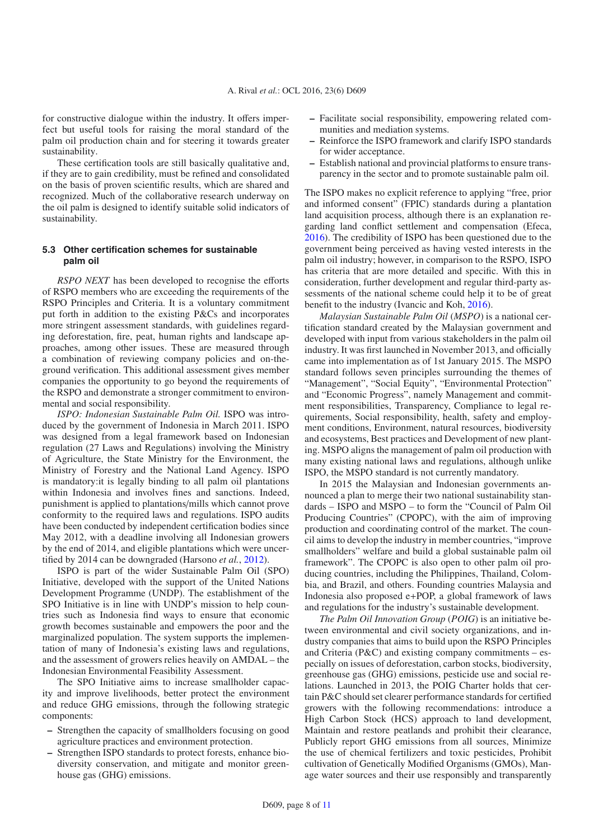for constructive dialogue within the industry. It offers imperfect but useful tools for raising the moral standard of the palm oil production chain and for steering it towards greater sustainability.

These certification tools are still basically qualitative and, if they are to gain credibility, must be refined and consolidated on the basis of proven scientific results, which are shared and recognized. Much of the collaborative research underway on the oil palm is designed to identify suitable solid indicators of sustainability.

### **5.3 Other certification schemes for sustainable palm oil**

*RSPO NEXT* has been developed to recognise the efforts of RSPO members who are exceeding the requirements of the RSPO Principles and Criteria. It is a voluntary commitment put forth in addition to the existing P&Cs and incorporates more stringent assessment standards, with guidelines regarding deforestation, fire, peat, human rights and landscape approaches, among other issues. These are measured through a combination of reviewing company policies and on-theground verification. This additional assessment gives member companies the opportunity to go beyond the requirements of the RSPO and demonstrate a stronger commitment to environmental and social responsibility.

*ISPO: Indonesian Sustainable Palm Oil.* ISPO was introduced by the government of Indonesia in March 2011. ISPO was designed from a legal framework based on Indonesian regulation (27 Laws and Regulations) involving the Ministry of Agriculture, the State Ministry for the Environment, the Ministry of Forestry and the National Land Agency. ISPO is mandatory:it is legally binding to all palm oil plantations within Indonesia and involves fines and sanctions. Indeed, punishment is applied to plantations/mills which cannot prove conformity to the required laws and regulations. ISPO audits have been conducted by independent certification bodies since May 2012, with a deadline involving all Indonesian growers by the end of 2014, and eligible plantations which were uncertified by 2014 can be downgraded (Harsono *et al.*, [2012\)](#page-10-12).

ISPO is part of the wider Sustainable Palm Oil (SPO) Initiative, developed with the support of the United Nations Development Programme (UNDP). The establishment of the SPO Initiative is in line with UNDP's mission to help countries such as Indonesia find ways to ensure that economic growth becomes sustainable and empowers the poor and the marginalized population. The system supports the implementation of many of Indonesia's existing laws and regulations, and the assessment of growers relies heavily on AMDAL – the Indonesian Environmental Feasibility Assessment.

The SPO Initiative aims to increase smallholder capacity and improve livelihoods, better protect the environment and reduce GHG emissions, through the following strategic components:

- **–** Strengthen the capacity of smallholders focusing on good agriculture practices and environment protection.
- **–** Strengthen ISPO standards to protect forests, enhance biodiversity conservation, and mitigate and monitor greenhouse gas (GHG) emissions.
- **–** Facilitate social responsibility, empowering related communities and mediation systems.
- **–** Reinforce the ISPO framework and clarify ISPO standards for wider acceptance.
- **–** Establish national and provincial platforms to ensure transparency in the sector and to promote sustainable palm oil.

The ISPO makes no explicit reference to applying "free, prior and informed consent" (FPIC) standards during a plantation land acquisition process, although there is an explanation regarding land conflict settlement and compensation (Efeca, [2016\)](#page-10-8). The credibility of ISPO has been questioned due to the government being perceived as having vested interests in the palm oil industry; however, in comparison to the RSPO, ISPO has criteria that are more detailed and specific. With this in consideration, further development and regular third-party assessments of the national scheme could help it to be of great benefit to the industry (Ivancic and Koh, [2016\)](#page-10-7).

*Malaysian Sustainable Palm Oil* (*MSPO*) is a national certification standard created by the Malaysian government and developed with input from various stakeholders in the palm oil industry. It was first launched in November 2013, and officially came into implementation as of 1st January 2015. The MSPO standard follows seven principles surrounding the themes of "Management", "Social Equity", "Environmental Protection" and "Economic Progress", namely Management and commitment responsibilities, Transparency, Compliance to legal requirements, Social responsibility, health, safety and employment conditions, Environment, natural resources, biodiversity and ecosystems, Best practices and Development of new planting. MSPO aligns the management of palm oil production with many existing national laws and regulations, although unlike ISPO, the MSPO standard is not currently mandatory.

In 2015 the Malaysian and Indonesian governments announced a plan to merge their two national sustainability standards – ISPO and MSPO – to form the "Council of Palm Oil Producing Countries" (CPOPC), with the aim of improving production and coordinating control of the market. The council aims to develop the industry in member countries, "improve smallholders" welfare and build a global sustainable palm oil framework". The CPOPC is also open to other palm oil producing countries, including the Philippines, Thailand, Colombia, and Brazil, and others. Founding countries Malaysia and Indonesia also proposed e+POP, a global framework of laws and regulations for the industry's sustainable development.

*The Palm Oil Innovation Group* (*POIG*) is an initiative between environmental and civil society organizations, and industry companies that aims to build upon the RSPO Principles and Criteria (P&C) and existing company commitments – especially on issues of deforestation, carbon stocks, biodiversity, greenhouse gas (GHG) emissions, pesticide use and social relations. Launched in 2013, the POIG Charter holds that certain P&C should set clearer performance standards for certified growers with the following recommendations: introduce a High Carbon Stock (HCS) approach to land development, Maintain and restore peatlands and prohibit their clearance, Publicly report GHG emissions from all sources, Minimize the use of chemical fertilizers and toxic pesticides, Prohibit cultivation of Genetically Modified Organisms (GMOs), Manage water sources and their use responsibly and transparently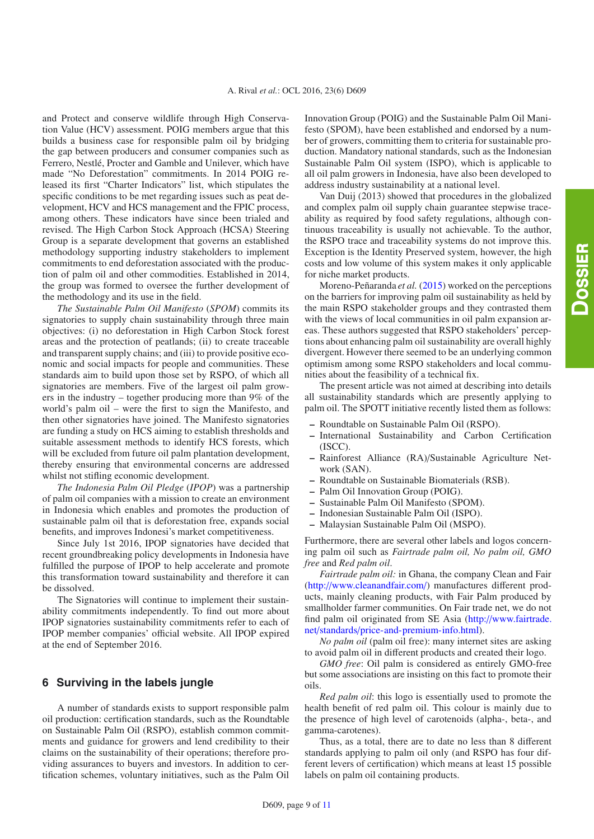and Protect and conserve wildlife through High Conservation Value (HCV) assessment. POIG members argue that this builds a business case for responsible palm oil by bridging the gap between producers and consumer companies such as Ferrero, Nestlé, Procter and Gamble and Unilever, which have made "No Deforestation" commitments. In 2014 POIG released its first "Charter Indicators" list, which stipulates the specific conditions to be met regarding issues such as peat development, HCV and HCS management and the FPIC process, among others. These indicators have since been trialed and revised. The High Carbon Stock Approach (HCSA) Steering Group is a separate development that governs an established methodology supporting industry stakeholders to implement commitments to end deforestation associated with the production of palm oil and other commodities. Established in 2014, the group was formed to oversee the further development of the methodology and its use in the field.

*The Sustainable Palm Oil Manifesto* (*SPOM*) commits its signatories to supply chain sustainability through three main objectives: (i) no deforestation in High Carbon Stock forest areas and the protection of peatlands; (ii) to create traceable and transparent supply chains; and (iii) to provide positive economic and social impacts for people and communities. These standards aim to build upon those set by RSPO, of which all signatories are members. Five of the largest oil palm growers in the industry – together producing more than 9% of the world's palm oil – were the first to sign the Manifesto, and then other signatories have joined. The Manifesto signatories are funding a study on HCS aiming to establish thresholds and suitable assessment methods to identify HCS forests, which will be excluded from future oil palm plantation development, thereby ensuring that environmental concerns are addressed whilst not stifling economic development.

*The Indonesia Palm Oil Pledge* (*IPOP*) was a partnership of palm oil companies with a mission to create an environment in Indonesia which enables and promotes the production of sustainable palm oil that is deforestation free, expands social benefits, and improves Indonesi's market competitiveness.

Since July 1st 2016, IPOP signatories have decided that recent groundbreaking policy developments in Indonesia have fulfilled the purpose of IPOP to help accelerate and promote this transformation toward sustainability and therefore it can be dissolved.

The Signatories will continue to implement their sustainability commitments independently. To find out more about IPOP signatories sustainability commitments refer to each of IPOP member companies' official website. All IPOP expired at the end of September 2016.

## **6 Surviving in the labels jungle**

A number of standards exists to support responsible palm oil production: certification standards, such as the Roundtable on Sustainable Palm Oil (RSPO), establish common commitments and guidance for growers and lend credibility to their claims on the sustainability of their operations; therefore providing assurances to buyers and investors. In addition to certification schemes, voluntary initiatives, such as the Palm Oil

Innovation Group (POIG) and the Sustainable Palm Oil Manifesto (SPOM), have been established and endorsed by a number of growers, committing them to criteria for sustainable production. Mandatory national standards, such as the Indonesian Sustainable Palm Oil system (ISPO), which is applicable to all oil palm growers in Indonesia, have also been developed to address industry sustainability at a national level.

Van Duij (2013) showed that procedures in the globalized and complex palm oil supply chain guarantee stepwise traceability as required by food safety regulations, although continuous traceability is usually not achievable. To the author, the RSPO trace and traceability systems do not improve this. Exception is the Identity Preserved system, however, the high costs and low volume of this system makes it only applicable for niche market products.

Moreno-Peñaranda *et al.* [\(2015\)](#page-10-13) worked on the perceptions on the barriers for improving palm oil sustainability as held by the main RSPO stakeholder groups and they contrasted them with the views of local communities in oil palm expansion areas. These authors suggested that RSPO stakeholders' perceptions about enhancing palm oil sustainability are overall highly divergent. However there seemed to be an underlying common optimism among some RSPO stakeholders and local communities about the feasibility of a technical fix.

The present article was not aimed at describing into details all sustainability standards which are presently applying to palm oil. The SPOTT initiative recently listed them as follows:

- **–** Roundtable on Sustainable Palm Oil (RSPO).
- **–** International Sustainability and Carbon Certification (ISCC).
- **–** Rainforest Alliance (RA)/Sustainable Agriculture Network (SAN).
- **–** Roundtable on Sustainable Biomaterials (RSB).
- **–** Palm Oil Innovation Group (POIG).
- **–** Sustainable Palm Oil Manifesto (SPOM).
- **–** Indonesian Sustainable Palm Oil (ISPO).
- **–** Malaysian Sustainable Palm Oil (MSPO).

Furthermore, there are several other labels and logos concerning palm oil such as *Fairtrade palm oil, No palm oil, GMO free* and *Red palm oil*.

*Fairtrade palm oil:* in Ghana, the company Clean and Fair (http://[www.cleanandfair.com](http://www.cleanandfair.com/)/) manufactures different products, mainly cleaning products, with Fair Palm produced by smallholder farmer communities. On Fair trade net, we do not find palm oil originated from SE Asia (http://[www.fairtrade.](http://www.fairtrade.net/standards/price-and-premium-info.html) net/standards/[price-and-premium-info.html\)](http://www.fairtrade.net/standards/price-and-premium-info.html).

*No palm oil* (palm oil free): many internet sites are asking to avoid palm oil in different products and created their logo.

*GMO free*: Oil palm is considered as entirely GMO-free but some associations are insisting on this fact to promote their oils.

*Red palm oil*: this logo is essentially used to promote the health benefit of red palm oil. This colour is mainly due to the presence of high level of carotenoids (alpha-, beta-, and gamma-carotenes).

Thus, as a total, there are to date no less than 8 different standards applying to palm oil only (and RSPO has four different levers of certification) which means at least 15 possible labels on palm oil containing products.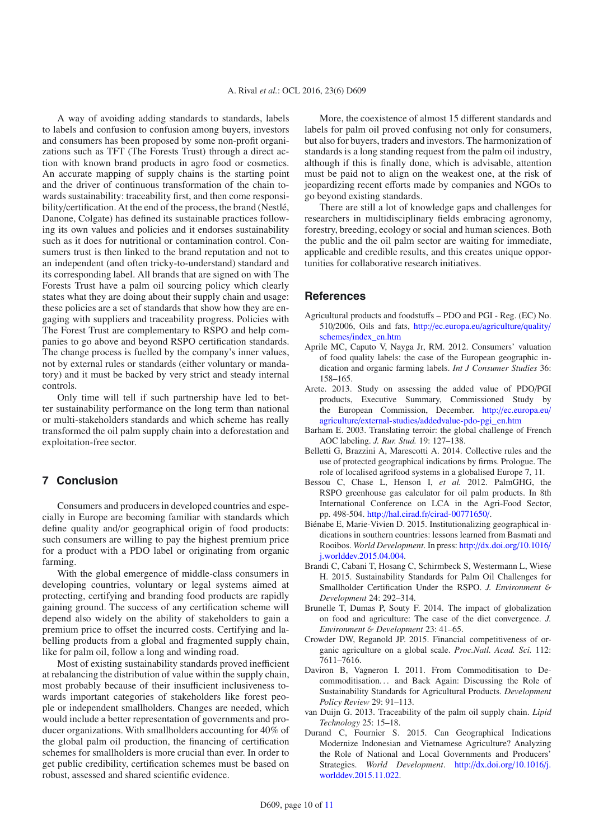A way of avoiding adding standards to standards, labels to labels and confusion to confusion among buyers, investors and consumers has been proposed by some non-profit organizations such as TFT (The Forests Trust) through a direct action with known brand products in agro food or cosmetics. An accurate mapping of supply chains is the starting point and the driver of continuous transformation of the chain towards sustainability: traceability first, and then come responsibility/certification. At the end of the process, the brand (Nestlé, Danone, Colgate) has defined its sustainable practices following its own values and policies and it endorses sustainability such as it does for nutritional or contamination control. Consumers trust is then linked to the brand reputation and not to an independent (and often tricky-to-understand) standard and its corresponding label. All brands that are signed on with The Forests Trust have a palm oil sourcing policy which clearly states what they are doing about their supply chain and usage: these policies are a set of standards that show how they are engaging with suppliers and traceability progress. Policies with The Forest Trust are complementary to RSPO and help companies to go above and beyond RSPO certification standards. The change process is fuelled by the company's inner values, not by external rules or standards (either voluntary or mandatory) and it must be backed by very strict and steady internal controls.

Only time will tell if such partnership have led to better sustainability performance on the long term than national or multi-stakeholders standards and which scheme has really transformed the oil palm supply chain into a deforestation and exploitation-free sector.

## **7 Conclusion**

Consumers and producers in developed countries and especially in Europe are becoming familiar with standards which define quality and/or geographical origin of food products: such consumers are willing to pay the highest premium price for a product with a PDO label or originating from organic farming.

With the global emergence of middle-class consumers in developing countries, voluntary or legal systems aimed at protecting, certifying and branding food products are rapidly gaining ground. The success of any certification scheme will depend also widely on the ability of stakeholders to gain a premium price to offset the incurred costs. Certifying and labelling products from a global and fragmented supply chain, like for palm oil, follow a long and winding road.

Most of existing sustainability standards proved inefficient at rebalancing the distribution of value within the supply chain, most probably because of their insufficient inclusiveness towards important categories of stakeholders like forest people or independent smallholders. Changes are needed, which would include a better representation of governments and producer organizations. With smallholders accounting for 40% of the global palm oil production, the financing of certification schemes for smallholders is more crucial than ever. In order to get public credibility, certification schemes must be based on robust, assessed and shared scientific evidence.

More, the coexistence of almost 15 different standards and labels for palm oil proved confusing not only for consumers, but also for buyers, traders and investors. The harmonization of standards is a long standing request from the palm oil industry, although if this is finally done, which is advisable, attention must be paid not to align on the weakest one, at the risk of jeopardizing recent efforts made by companies and NGOs to go beyond existing standards.

There are still a lot of knowledge gaps and challenges for researchers in multidisciplinary fields embracing agronomy, forestry, breeding, ecology or social and human sciences. Both the public and the oil palm sector are waiting for immediate, applicable and credible results, and this creates unique opportunities for collaborative research initiatives.

### **References**

- Agricultural products and foodstuffs PDO and PGI Reg. (EC) No. 510/2006, Oils and fats, http://[ec.europa.eu](http://ec.europa.eu/agriculture/quality/schemes/index_en.htm)/agriculture/quality/ schemes/[index\\_en.htm](http://ec.europa.eu/agriculture/quality/schemes/index_en.htm)
- <span id="page-9-3"></span>Aprile MC, Caputo V, Nayga Jr, RM. 2012. Consumers' valuation of food quality labels: the case of the European geographic indication and organic farming labels. *Int J Consumer Studies* 36: 158–165.
- <span id="page-9-2"></span>Arete. 2013. Study on assessing the added value of PDO/PGI products, Executive Summary, Commissioned Study by the European Commission, December. http://[ec.europa.eu](http://ec.europa.eu/agriculture/external-studies/addedvalue-pdo-pgi_en.htm)/ agriculture/external-studies/[addedvalue-pdo-pgi\\_en.htm](http://ec.europa.eu/agriculture/external-studies/addedvalue-pdo-pgi_en.htm)
- <span id="page-9-1"></span>Barham E. 2003. Translating terroir: the global challenge of French AOC labeling. *J. Rur. Stud.* 19: 127–138.
- Belletti G, Brazzini A, Marescotti A. 2014. Collective rules and the use of protected geographical indications by firms. Prologue. The role of localised agrifood systems in a globalised Europe 7, 11.
- <span id="page-9-7"></span>Bessou C, Chase L, Henson I, *et al.* 2012. PalmGHG, the RSPO greenhouse gas calculator for oil palm products. In 8th International Conference on LCA in the Agri-Food Sector, pp. 498-504. http://hal.cirad.fr/[cirad-00771650](http://hal.cirad.fr/cirad-00771650/)/.
- <span id="page-9-5"></span>Biénabe E, Marie-Vivien D. 2015. Institutionalizing geographical indications in southern countries: lessons learned from Basmati and Rooibos. *World Development*. In press: http://[dx.doi.org](http://dx.doi.org/10.1016/j.worlddev.2015.04.004)/10.1016/ [j.worlddev.2015.04.004.](http://dx.doi.org/10.1016/j.worlddev.2015.04.004)
- <span id="page-9-9"></span>Brandi C, Cabani T, Hosang C, Schirmbeck S, Westermann L, Wiese H. 2015. Sustainability Standards for Palm Oil Challenges for Smallholder Certification Under the RSPO. *J. Environment* & *Development* 24: 292–314.
- <span id="page-9-0"></span>Brunelle T, Dumas P, Souty F. 2014. The impact of globalization on food and agriculture: The case of the diet convergence. *J. Environment* & *Development* 23: 41–65.
- <span id="page-9-4"></span>Crowder DW, Reganold JP. 2015. Financial competitiveness of organic agriculture on a global scale. *Proc.Natl. Acad. Sci.* 112: 7611–7616.
- <span id="page-9-8"></span>Daviron B, Vagneron I. 2011. From Commoditisation to Decommoditisation. . . and Back Again: Discussing the Role of Sustainability Standards for Agricultural Products. *Development Policy Review* 29: 91–113.
- van Duijn G. 2013. Traceability of the palm oil supply chain. *Lipid Technology* 25: 15–18.
- <span id="page-9-6"></span>Durand C, Fournier S. 2015. Can Geographical Indications Modernize Indonesian and Vietnamese Agriculture? Analyzing the Role of National and Local Governments and Producers' Strategies. *World Development*. http://[dx.doi.org](http://dx.doi.org/10.1016/j.worlddev.2015.11.022)/10.1016/j. [worlddev.2015.11.022.](http://dx.doi.org/10.1016/j.worlddev.2015.11.022)